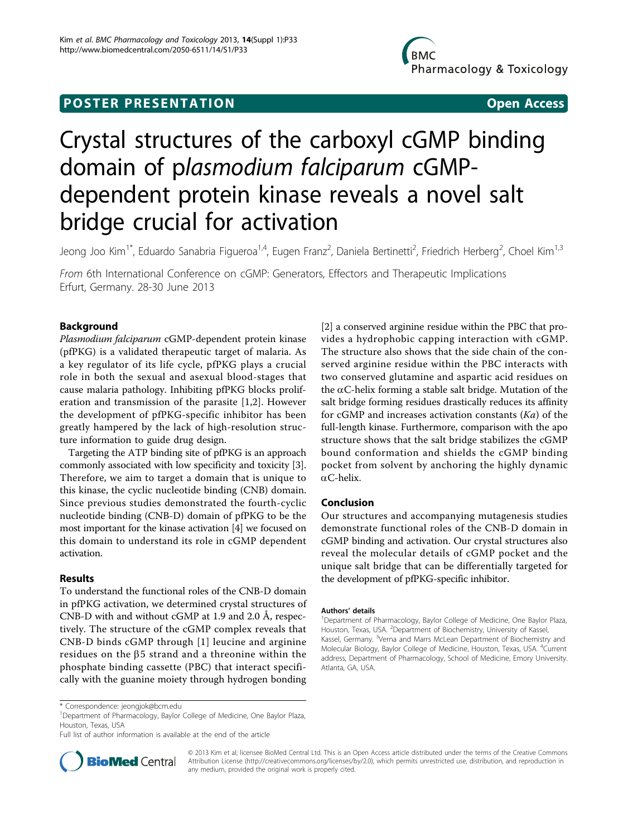# Crystal structures of the carboxyl cGMP binding domain of plasmodium falciparum cGMPdependent protein kinase reveals a novel salt bridge crucial for activation

Jeong Joo Kim<sup>1\*</sup>, Eduardo Sanabria Figueroa<sup>1,4</sup>, Eugen Franz<sup>2</sup>, Daniela Bertinetti<sup>2</sup>, Friedrich Herberg<sup>2</sup>, Choel Kim<sup>1,3</sup>

From 6th International Conference on cGMP: Generators, Effectors and Therapeutic Implications Erfurt, Germany. 28-30 June 2013

# Background

Plasmodium falciparum cGMP-dependent protein kinase (pfPKG) is a validated therapeutic target of malaria. As a key regulator of its life cycle, pfPKG plays a crucial role in both the sexual and asexual blood-stages that cause malaria pathology. Inhibiting pfPKG blocks proliferation and transmission of the parasite [\[1](#page-1-0),[2\]](#page-1-0). However the development of pfPKG-specific inhibitor has been greatly hampered by the lack of high-resolution structure information to guide drug design.

Targeting the ATP binding site of pfPKG is an approach commonly associated with low specificity and toxicity [\[3](#page-1-0)]. Therefore, we aim to target a domain that is unique to this kinase, the cyclic nucleotide binding (CNB) domain. Since previous studies demonstrated the fourth-cyclic nucleotide binding (CNB-D) domain of pfPKG to be the most important for the kinase activation [[4\]](#page-1-0) we focused on this domain to understand its role in cGMP dependent activation.

## Results

To understand the functional roles of the CNB-D domain in pfPKG activation, we determined crystal structures of CNB-D with and without cGMP at 1.9 and 2.0 Å, respectively. The structure of the cGMP complex reveals that CNB-D binds cGMP through [[1\]](#page-1-0) leucine and arginine residues on the  $\beta$ 5 strand and a threonine within the phosphate binding cassette (PBC) that interact specifically with the guanine moiety through hydrogen bonding

[[2\]](#page-1-0) a conserved arginine residue within the PBC that provides a hydrophobic capping interaction with cGMP. The structure also shows that the side chain of the conserved arginine residue within the PBC interacts with two conserved glutamine and aspartic acid residues on the  $\alpha$ C-helix forming a stable salt bridge. Mutation of the salt bridge forming residues drastically reduces its affinity for cGMP and increases activation constants  $(Ka)$  of the full-length kinase. Furthermore, comparison with the apo structure shows that the salt bridge stabilizes the cGMP bound conformation and shields the cGMP binding pocket from solvent by anchoring the highly dynamic  $\alpha$ C-helix.

# Conclusion

Our structures and accompanying mutagenesis studies demonstrate functional roles of the CNB-D domain in cGMP binding and activation. Our crystal structures also reveal the molecular details of cGMP pocket and the unique salt bridge that can be differentially targeted for the development of pfPKG-specific inhibitor.

#### Authors' details <sup>1</sup>

<sup>1</sup>Department of Pharmacology, Baylor College of Medicine, One Baylor Plaza, Houston, Texas, USA. <sup>2</sup>Department of Biochemistry, University of Kassel, Kassel, Germany. <sup>3</sup>Verna and Marrs McLean Department of Biochemistry and Molecular Biology, Baylor College of Medicine, Houston, Texas, USA. <sup>4</sup> Current address, Department of Pharmacology, School of Medicine, Emory University. Atlanta, GA, USA.

Full list of author information is available at the end of the article



© 2013 Kim et al; licensee BioMed Central Ltd. This is an Open Access article distributed under the terms of the Creative Commons Attribution License [\(http://creativecommons.org/licenses/by/2.0](http://creativecommons.org/licenses/by/2.0)), which permits unrestricted use, distribution, and reproduction in any medium, provided the original work is properly cited.

<sup>\*</sup> Correspondence: [jeongjok@bcm.edu](mailto:jeongjok@bcm.edu)

<sup>&</sup>lt;sup>1</sup>Department of Pharmacology, Baylor College of Medicine, One Baylor Plaza, Houston, Texas, USA